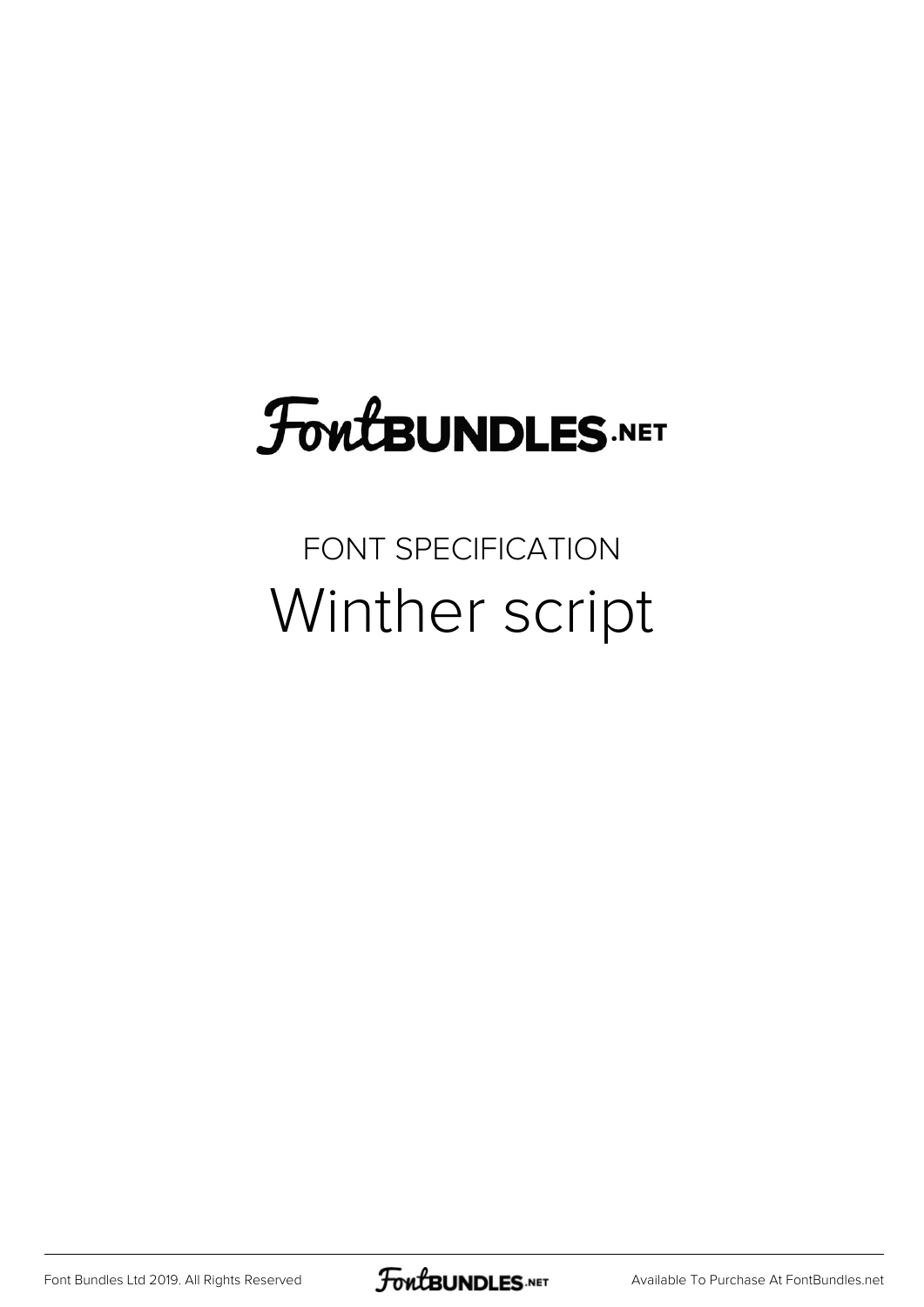## FoutBUNDLES.NET

## FONT SPECIFICATION Winther script

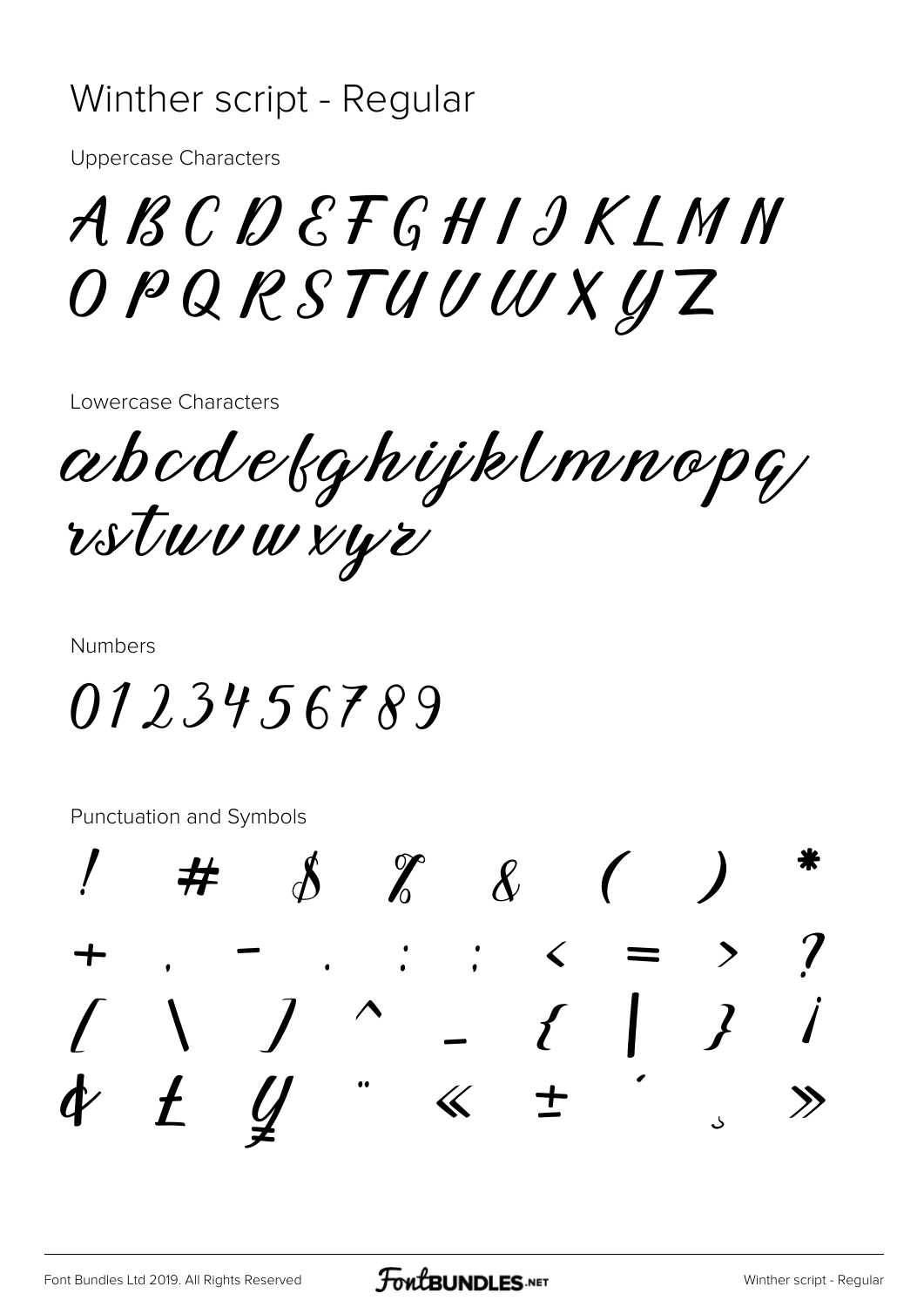## Winther script - Regular

Uppercase Characters

## ABCDEFGHIJKLMN OPQRSTUVWXYZ

Lowercase Characters

abcdefghijklmnopq rstuvwxyz

Numbers

0123456789

Punctuation and Symbols

! # \$ % & ( ) \* + , - . : ; < = > ? [ \ ] ^ \_ { | } ¡ ¢ £ ¥ ¨ « ± ´ ¸ »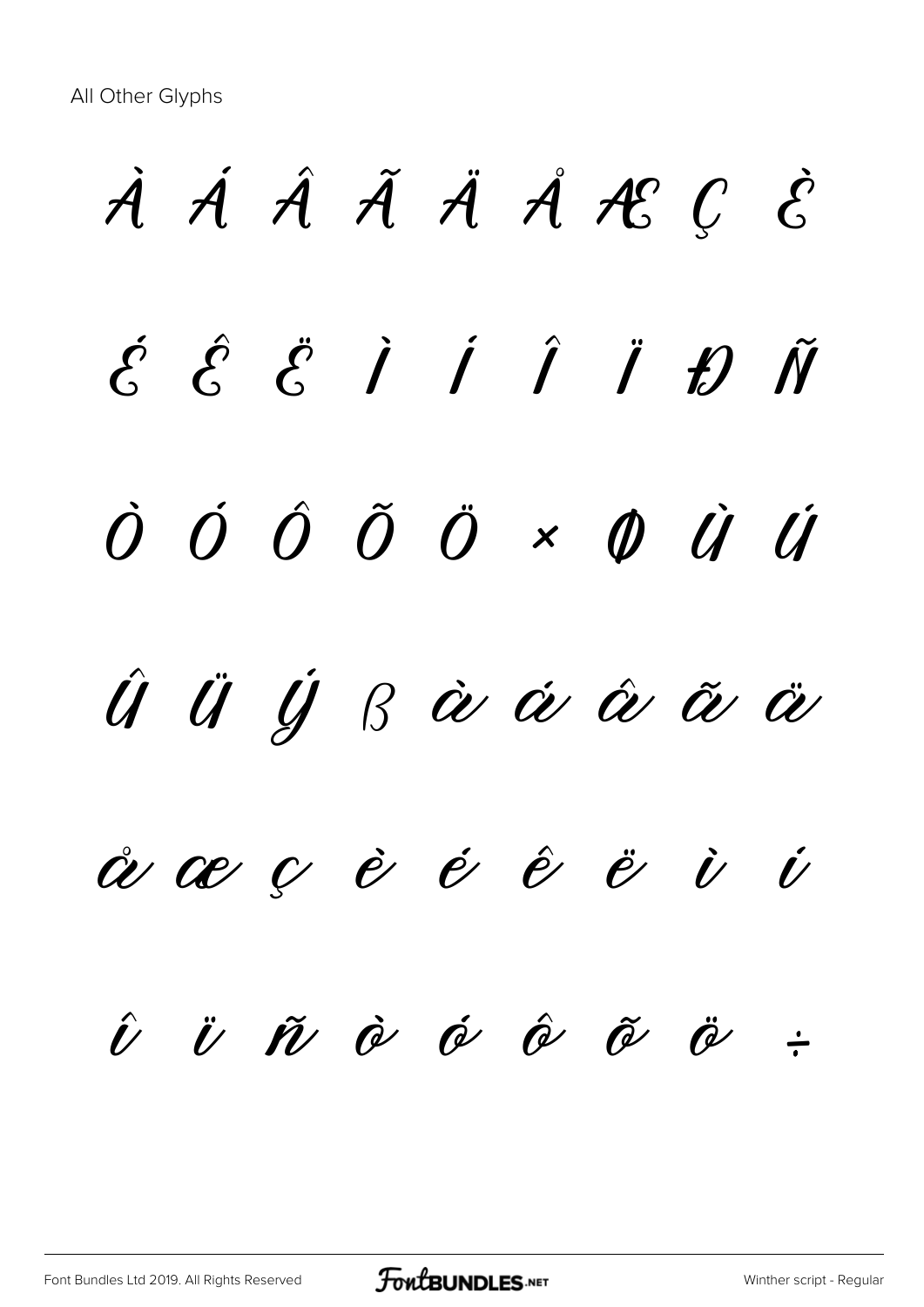All Other Glyphs

À Á Â Ã Ä Å Æ Ç È  $\acute{\mathcal{E}}$   $\acute{\mathcal{E}}$   $\acute{\mathcal{E}}$   $\acute{\mathcal{I}}$   $\acute{\mathcal{I}}$   $\acute{\mathcal{I}}$   $\acute{\mathcal{I}}$   $\acute{\mathcal{I}}$   $\acute{\mathcal{V}}$ Ò Ó Ô Õ Ö × Ø Ù Ú Û Ü Ý ß à á â ã ä å æ ç è é ê ë ì í  $\hat{U}$   $\ddot{U}$   $\tilde{W}$   $\dot{\theta}$   $\dot{\theta}$   $\dot{\theta}$   $\ddot{\theta}$   $\ddot{\theta}$   $\div$ 

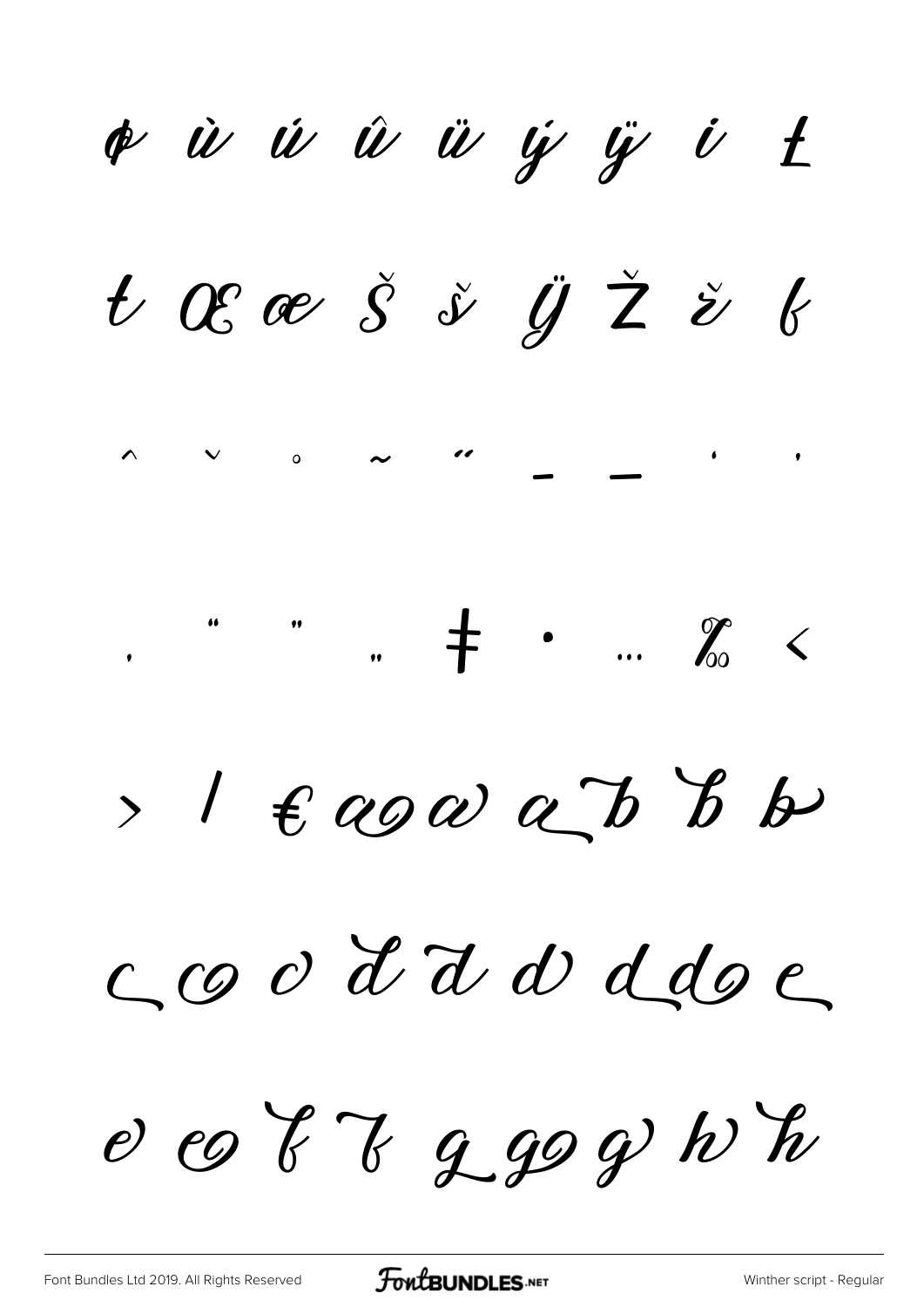¢ ù ú û ü y y i t t ξ Š š Ÿ Ž ž b  $\sim$  "  $\wedge$   $\vee$   $\circ$  $\begin{array}{ccc} \cdots & \mathcal{J}_{0} & \leftarrow & \end{array}$  $>1$   $\epsilon$  aga a b b coo d'ad ddoc e co  $87999h$